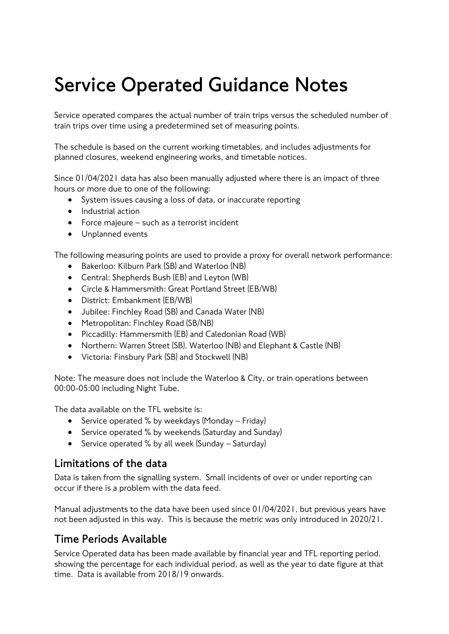## **Service Operated Guidance Notes**

Service operated compares the actual number of train trips versus the scheduled number of train trips over time using a predetermined set of measuring points.

The schedule is based on the current working timetables, and includes adjustments for planned closures, weekend engineering works, and timetable notices.

Since 01/04/2021 data has also been manually adjusted where there is an impact of three hours or more due to one of the following:

- System issues causing a loss of data, or inaccurate reporting
- Industrial action
- Force majeure such as a terrorist incident
- Unplanned events

The following measuring points are used to provide a proxy for overall network performance:

- Bakerloo: Kilburn Park (SB) and Waterloo (NB)
- Central: Shepherds Bush (EB) and Leyton (WB)
- Circle & Hammersmith: Great Portland Street (EB/WB)
- District: Embankment (EB/WB)
- Jubilee: Finchley Road (SB) and Canada Water (NB)
- Metropolitan: Finchley Road (SB/NB)
- Piccadilly: Hammersmith (EB) and Caledonian Road (WB)
- Northern: Warren Street (SB), Waterloo (NB) and Elephant & Castle (NB)
- Victoria: Finsbury Park (SB) and Stockwell (NB)

Note: The measure does not include the Waterloo & City, or train operations between 00:00-05:00 including Night Tube.

The data available on the TFL website is:

- Service operated % by weekdays (Monday Friday)
- Service operated % by weekends (Saturday and Sunday)
- Service operated % by all week (Sunday Saturday)

## **Limitations of the data**

Data is taken from the signalling system. Small incidents of over or under reporting can occur if there is a problem with the data feed.

Manual adjustments to the data have been used since 01/04/2021, but previous years have not been adjusted in this way. This is because the metric was only introduced in 2020/21.

## **Time Periods Available**

Service Operated data has been made available by financial year and TFL reporting period, showing the percentage for each individual period, as well as the year to date figure at that time. Data is available from 2018/19 onwards.